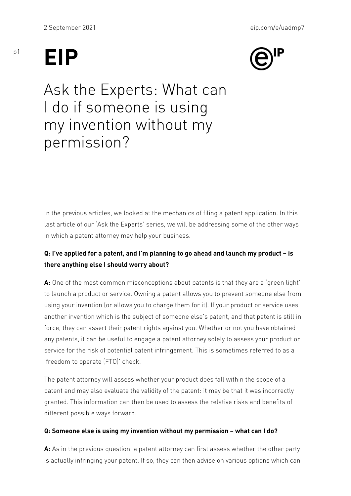## EIP

p1

Ask the Experts: What can I do if someone is using my invention without my permission?

In the previous articles, we looked at the mechanics of filing a pat last article of our Ask the Experts series, we will be addressing s in which a patent attorney may help your business.

Q: I ve applied for a patent, and I m planning to go ahead and laun there anything else I should worry about?

A: One of the most common misconceptions about patents is that the to launch a product or service. Owning a patent allows you to prev using your invention (or allows you to charge them for it). If your p another invention which is the subject of someone else s patent, and  $\lambda$ force, they can assert their patent rights against you. Whether or r any patents, it can be useful to engage a patent attorney solely to service for the risk of potential patent infringement. This is someti freedom to operate (FTO) check.

The patent attorney will assess whether your product does fall with patent and may also evaluate the validity of the patent: it may be t granted. This information can then be used to assess the relative r different possible ways forward.

Q: Someone else is using my invention without my permission what

A: As in the previous question, a patent attorney can first assess w is actually infringing your patent. If so, they can then advise on va